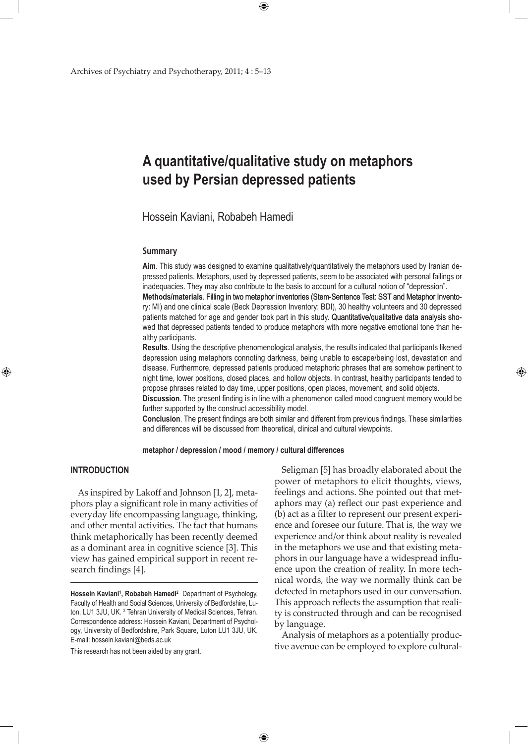## **A quantitative/qualitative study on metaphors used by Persian depressed patients**

 $\bigoplus$ 

Hossein Kaviani, Robabeh Hamedi

#### **Summary**

**Aim**. This study was designed to examine qualitatively/quantitatively the metaphors used by Iranian depressed patients. Metaphors, used by depressed patients, seem to be associated with personal failings or inadequacies. They may also contribute to the basis to account for a cultural notion of "depression". **Methods/materials**. Filling in two metaphor inventories (Stem-Sentence Test: SST and Metaphor Inventory: MI) and one clinical scale (Beck Depression Inventory: BDI), 30 healthy volunteers and 30 depressed patients matched for age and gender took part in this study. Quantitative/qualitative data analysis showed that depressed patients tended to produce metaphors with more negative emotional tone than healthy participants.

**Results**. Using the descriptive phenomenological analysis, the results indicated that participants likened depression using metaphors connoting darkness, being unable to escape/being lost, devastation and disease. Furthermore, depressed patients produced metaphoric phrases that are somehow pertinent to night time, lower positions, closed places, and hollow objects. In contrast, healthy participants tended to propose phrases related to day time, upper positions, open places, movement, and solid objects.

**Discussion**. The present finding is in line with a phenomenon called mood congruent memory would be further supported by the construct accessibility model.

**Conclusion**. The present findings are both similar and different from previous findings. These similarities and differences will be discussed from theoretical, clinical and cultural viewpoints.

**metaphor / depression / mood / memory / cultural differences**

#### **INTRODUCTION**

⊕

As inspired by Lakoff and Johnson [1, 2], metaphors play a significant role in many activities of everyday life encompassing language, thinking, and other mental activities. The fact that humans think metaphorically has been recently deemed as a dominant area in cognitive science [3]. This view has gained empirical support in recent research findings [4].

This research has not been aided by any grant.

Seligman [5] has broadly elaborated about the power of metaphors to elicit thoughts, views, feelings and actions. She pointed out that metaphors may (a) reflect our past experience and (b) act as a filter to represent our present experience and foresee our future. That is, the way we experience and/or think about reality is revealed in the metaphors we use and that existing metaphors in our language have a widespread influence upon the creation of reality. In more technical words, the way we normally think can be detected in metaphors used in our conversation. This approach reflects the assumption that reality is constructed through and can be recognised by language.

⊕

Analysis of metaphors as a potentially productive avenue can be employed to explore cultural-

Hossein Kaviani<sup>1</sup>, Robabeh Hamedi<sup>2</sup> Department of Psychology, Faculty of Health and Social Sciences, University of Bedfordshire, Luton, LU1 3JU, UK. <sup>2</sup> Tehran University of Medical Sciences, Tehran. Correspondence address: Hossein Kaviani, Department of Psychology, University of Bedfordshire, Park Square, Luton LU1 3JU, UK. E-mail: hossein.kaviani@beds.ac.uk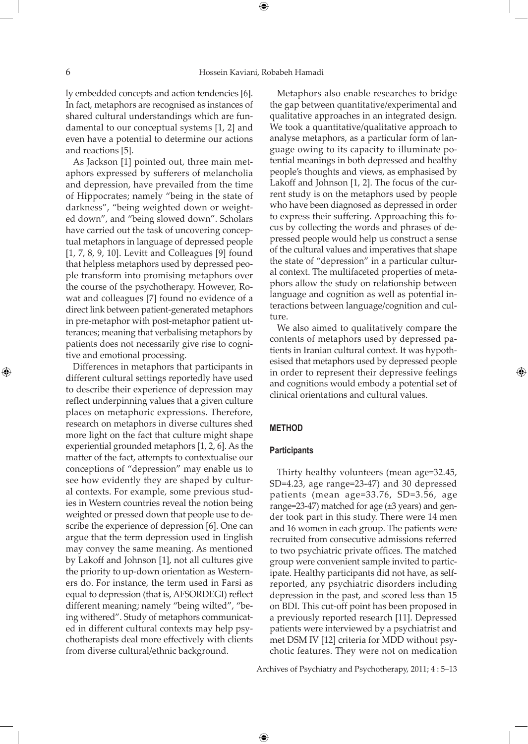ly embedded concepts and action tendencies [6]. In fact, metaphors are recognised as instances of shared cultural understandings which are fundamental to our conceptual systems [1, 2] and even have a potential to determine our actions and reactions [5].

As Jackson [1] pointed out, three main metaphors expressed by sufferers of melancholia and depression, have prevailed from the time of Hippocrates; namely "being in the state of darkness", "being weighted down or weighted down", and "being slowed down". Scholars have carried out the task of uncovering conceptual metaphors in language of depressed people [1, 7, 8, 9, 10]. Levitt and Colleagues [9] found that helpless metaphors used by depressed people transform into promising metaphors over the course of the psychotherapy. However, Rowat and colleagues [7] found no evidence of a direct link between patient-generated metaphors in pre-metaphor with post-metaphor patient utterances; meaning that verbalising metaphors by patients does not necessarily give rise to cognitive and emotional processing.

Differences in metaphors that participants in different cultural settings reportedly have used to describe their experience of depression may reflect underpinning values that a given culture places on metaphoric expressions. Therefore, research on metaphors in diverse cultures shed more light on the fact that culture might shape experiential grounded metaphors [1, 2, 6]. As the matter of the fact, attempts to contextualise our conceptions of "depression" may enable us to see how evidently they are shaped by cultural contexts. For example, some previous studies in Western countries reveal the notion being weighted or pressed down that people use to describe the experience of depression [6]. One can argue that the term depression used in English may convey the same meaning. As mentioned by Lakoff and Johnson [1], not all cultures give the priority to up-down orientation as Westerners do. For instance, the term used in Farsi as equal to depression (that is, AFSORDEGI) reflect different meaning; namely "being wilted", "being withered". Study of metaphors communicated in different cultural contexts may help psychotherapists deal more effectively with clients from diverse cultural/ethnic background.

Metaphors also enable researches to bridge the gap between quantitative/experimental and qualitative approaches in an integrated design. We took a quantitative/qualitative approach to analyse metaphors, as a particular form of language owing to its capacity to illuminate potential meanings in both depressed and healthy people's thoughts and views, as emphasised by Lakoff and Johnson [1, 2]. The focus of the current study is on the metaphors used by people who have been diagnosed as depressed in order to express their suffering. Approaching this focus by collecting the words and phrases of depressed people would help us construct a sense of the cultural values and imperatives that shape the state of "depression" in a particular cultural context. The multifaceted properties of metaphors allow the study on relationship between language and cognition as well as potential interactions between language/cognition and culture.

We also aimed to qualitatively compare the contents of metaphors used by depressed patients in Iranian cultural context. It was hypothesised that metaphors used by depressed people in order to represent their depressive feelings and cognitions would embody a potential set of clinical orientations and cultural values.

#### **METHOD**

 $\bigoplus$ 

#### **Participants**

Thirty healthy volunteers (mean age=32.45, SD=4.23, age range=23-47) and 30 depressed patients (mean age=33.76, SD=3.56, age range=23-47) matched for age (±3 years) and gender took part in this study. There were 14 men and 16 women in each group. The patients were recruited from consecutive admissions referred to two psychiatric private offices. The matched group were convenient sample invited to participate. Healthy participants did not have, as selfreported, any psychiatric disorders including depression in the past, and scored less than 15 on BDI. This cut-off point has been proposed in a previously reported research [11]. Depressed patients were interviewed by a psychiatrist and met DSM IV [12] criteria for MDD without psychotic features. They were not on medication

Archives of Psychiatry and Psychotherapy, 2011; 4 : 5–13

⊕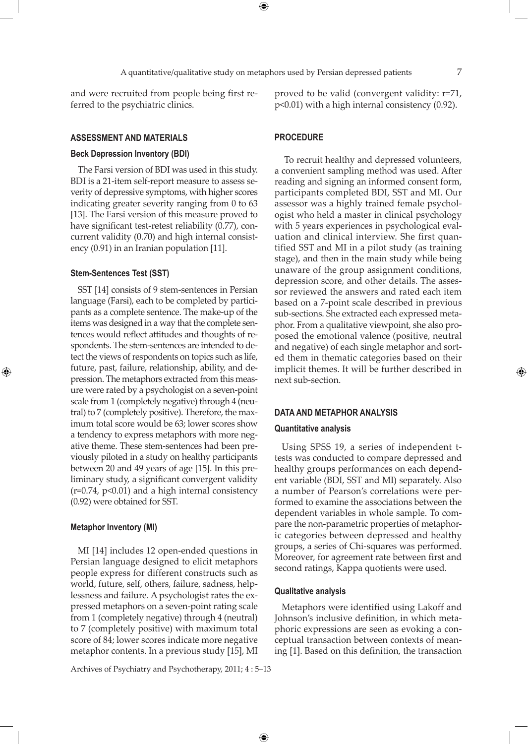⊕

and were recruited from people being first referred to the psychiatric clinics.

### **Assessment and Materials**

#### **Beck Depression Inventory (BDI)**

The Farsi version of BDI was used in this study. BDI is a 21-item self-report measure to assess severity of depressive symptoms, with higher scores indicating greater severity ranging from 0 to 63 [13]. The Farsi version of this measure proved to have significant test-retest reliability (0.77), concurrent validity (0.70) and high internal consistency (0.91) in an Iranian population [11].

#### **Stem-Sentences Test (SST)**

⊕

SST [14] consists of 9 stem-sentences in Persian language (Farsi), each to be completed by participants as a complete sentence. The make-up of the items was designed in a way that the complete sentences would reflect attitudes and thoughts of respondents. The stem-sentences are intended to detect the views of respondents on topics such as life, future, past, failure, relationship, ability, and depression. The metaphors extracted from this measure were rated by a psychologist on a seven-point scale from 1 (completely negative) through 4 (neutral) to 7 (completely positive). Therefore, the maximum total score would be 63; lower scores show a tendency to express metaphors with more negative theme. These stem-sentences had been previously piloted in a study on healthy participants between 20 and 49 years of age [15]. In this preliminary study, a significant convergent validity  $(r=0.74, p<0.01)$  and a high internal consistency (0.92) were obtained for SST.

#### **Metaphor Inventory (MI)**

MI [14] includes 12 open-ended questions in Persian language designed to elicit metaphors people express for different constructs such as world, future, self, others, failure, sadness, helplessness and failure. A psychologist rates the expressed metaphors on a seven-point rating scale from 1 (completely negative) through 4 (neutral) to 7 (completely positive) with maximum total score of 84; lower scores indicate more negative metaphor contents. In a previous study [15], MI

Archives of Psychiatry and Psychotherapy, 2011; 4 : 5–13

proved to be valid (convergent validity: r=71, p<0.01) with a high internal consistency (0.92).

#### **PROCEDURE**

 To recruit healthy and depressed volunteers, a convenient sampling method was used. After reading and signing an informed consent form, participants completed BDI, SST and MI. Our assessor was a highly trained female psychologist who held a master in clinical psychology with 5 years experiences in psychological evaluation and clinical interview. She first quantified SST and MI in a pilot study (as training stage), and then in the main study while being unaware of the group assignment conditions, depression score, and other details. The assessor reviewed the answers and rated each item based on a 7-point scale described in previous sub-sections. She extracted each expressed metaphor. From a qualitative viewpoint, she also proposed the emotional valence (positive, neutral and negative) of each single metaphor and sorted them in thematic categories based on their implicit themes. It will be further described in next sub-section.

#### **DATA AND METAPHOR ANALYSIS**

#### **Quantitative analysis**

Using SPSS 19, a series of independent ttests was conducted to compare depressed and healthy groups performances on each dependent variable (BDI, SST and MI) separately. Also a number of Pearson's correlations were performed to examine the associations between the dependent variables in whole sample. To compare the non-parametric properties of metaphoric categories between depressed and healthy groups, a series of Chi-squares was performed. Moreover, for agreement rate between first and second ratings, Kappa quotients were used.

#### **Qualitative analysis**

 $\bigoplus$ 

Metaphors were identified using Lakoff and Johnson's inclusive definition, in which metaphoric expressions are seen as evoking a conceptual transaction between contexts of meaning [1]. Based on this definition, the transaction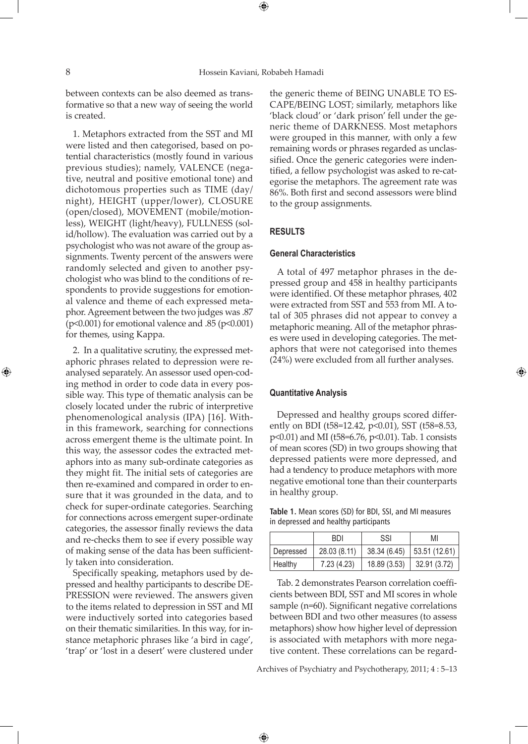⊕

between contexts can be also deemed as transformative so that a new way of seeing the world is created.

1. Metaphors extracted from the SST and MI were listed and then categorised, based on potential characteristics (mostly found in various previous studies); namely, VALENCE (negative, neutral and positive emotional tone) and dichotomous properties such as TIME (day/ night), HEIGHT (upper/lower), CLOSURE (open/closed), MOVEMENT (mobile/motionless), WEIGHT (light/heavy), FULLNESS (solid/hollow). The evaluation was carried out by a psychologist who was not aware of the group assignments. Twenty percent of the answers were randomly selected and given to another psychologist who was blind to the conditions of respondents to provide suggestions for emotional valence and theme of each expressed metaphor. Agreement between the two judges was .87 (p<0.001) for emotional valence and .85 (p<0.001) for themes, using Kappa.

2. In a qualitative scrutiny, the expressed metaphoric phrases related to depression were reanalysed separately. An assessor used open-coding method in order to code data in every possible way. This type of thematic analysis can be closely located under the rubric of interpretive phenomenological analysis (IPA) [16]. Within this framework, searching for connections across emergent theme is the ultimate point. In this way, the assessor codes the extracted metaphors into as many sub-ordinate categories as they might fit. The initial sets of categories are then re-examined and compared in order to ensure that it was grounded in the data, and to check for super-ordinate categories. Searching for connections across emergent super-ordinate categories, the assessor finally reviews the data and re-checks them to see if every possible way of making sense of the data has been sufficiently taken into consideration.

Specifically speaking, metaphors used by depressed and healthy participants to describe DE-PRESSION were reviewed. The answers given to the items related to depression in SST and MI were inductively sorted into categories based on their thematic similarities. In this way, for instance metaphoric phrases like 'a bird in cage', 'trap' or 'lost in a desert' were clustered under

the generic theme of BEING UNABLE TO ES-CAPE/BEING LOST; similarly, metaphors like 'black cloud' or 'dark prison' fell under the generic theme of DARKNESS. Most metaphors were grouped in this manner, with only a few remaining words or phrases regarded as unclassified. Once the generic categories were indentified, a fellow psychologist was asked to re-categorise the metaphors. The agreement rate was 86%. Both first and second assessors were blind to the group assignments.

#### **RESULTS**

#### **General Characteristics**

A total of 497 metaphor phrases in the depressed group and 458 in healthy participants were identified. Of these metaphor phrases, 402 were extracted from SST and 553 from MI. A total of 305 phrases did not appear to convey a metaphoric meaning. All of the metaphor phrases were used in developing categories. The metaphors that were not categorised into themes (24%) were excluded from all further analyses.

⊕

#### **Quantitative Analysis**

Depressed and healthy groups scored differently on BDI (t58=12.42, p<0.01), SST (t58=8.53, p<0.01) and MI (t58=6.76, p<0.01). Tab. 1 consists of mean scores (SD) in two groups showing that depressed patients were more depressed, and had a tendency to produce metaphors with more negative emotional tone than their counterparts in healthy group.

**Table 1.** Mean scores (SD) for BDI, SSI, and MI measures in depressed and healthy participants

|           | BDI          | SSI          | MI            |
|-----------|--------------|--------------|---------------|
| Depressed | 28.03 (8.11) | 38.34 (6.45) | 53.51 (12.61) |
| Healthy   | 7.23 (4.23)  | 18.89 (3.53) | 32.91(3.72)   |

Tab. 2 demonstrates Pearson correlation coefficients between BDI, SST and MI scores in whole sample (n=60). Significant negative correlations between BDI and two other measures (to assess metaphors) show how higher level of depression is associated with metaphors with more negative content. These correlations can be regard-

Archives of Psychiatry and Psychotherapy, 2011; 4 : 5–13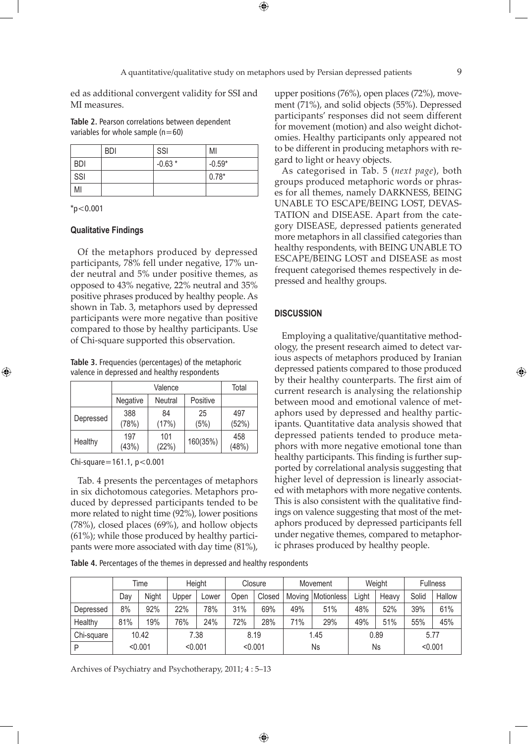ed as additional convergent validity for SSI and MI measures.

**Table 2.** Pearson correlations between dependent variables for whole sample  $(n=60)$ 

|            | <b>BDI</b> | SSI      | MI       |
|------------|------------|----------|----------|
| <b>BDI</b> |            | $-0.63*$ | $-0.59*$ |
| `SSI       |            |          | $0.78*$  |
| MI         |            |          |          |

 $*p<0.001$ 

⊕

#### **Qualitative Findings**

Of the metaphors produced by depressed participants, 78% fell under negative, 17% under neutral and 5% under positive themes, as opposed to 43% negative, 22% neutral and 35% positive phrases produced by healthy people. As shown in Tab. 3, metaphors used by depressed participants were more negative than positive compared to those by healthy participants. Use of Chi-square supported this observation.

**Table 3.** Frequencies (percentages) of the metaphoric valence in depressed and healthy respondents

|           |              | Total          |            |              |
|-----------|--------------|----------------|------------|--------------|
|           | Negative     | <b>Neutral</b> | Positive   |              |
| Depressed | 388<br>(78%) | 84<br>(17%)    | 25<br>(5%) | 497<br>(52%) |
| Healthy   | 197<br>(43%) | 101<br>(22%)   | 160(35%)   | 458<br>(48%) |

Chi-square=161.1, p<0.001

Tab. 4 presents the percentages of metaphors in six dichotomous categories. Metaphors produced by depressed participants tended to be more related to night time (92%), lower positions (78%), closed places (69%), and hollow objects (61%); while those produced by healthy participants were more associated with day time (81%), upper positions (76%), open places (72%), movement (71%), and solid objects (55%). Depressed participants' responses did not seem different for movement (motion) and also weight dichotomies. Healthy participants only appeared not to be different in producing metaphors with regard to light or heavy objects.

As categorised in Tab. 5 (*next page*), both groups produced metaphoric words or phrases for all themes, namely DARKNESS, BEING UNABLE TO ESCAPE/BEING LOST, DEVAS-TATION and DISEASE. Apart from the category DISEASE, depressed patients generated more metaphors in all classified categories than healthy respondents, with BEING UNABLE TO ESCAPE/BEING LOST and DISEASE as most frequent categorised themes respectively in depressed and healthy groups.

#### **DISCUSSION**

Employing a qualitative/quantitative methodology, the present research aimed to detect various aspects of metaphors produced by Iranian depressed patients compared to those produced by their healthy counterparts. The first aim of current research is analysing the relationship between mood and emotional valence of metaphors used by depressed and healthy participants. Quantitative data analysis showed that depressed patients tended to produce metaphors with more negative emotional tone than healthy participants. This finding is further supported by correlational analysis suggesting that higher level of depression is linearly associated with metaphors with more negative contents. This is also consistent with the qualitative findings on valence suggesting that most of the metaphors produced by depressed participants fell under negative themes, compared to metaphoric phrases produced by healthy people.

**Table 4.** Percentages of the themes in depressed and healthy respondents

|            |     | Time         |              | Height |      | Closure |        | Movement   |       | Weight |       | <b>Fullness</b> |
|------------|-----|--------------|--------------|--------|------|---------|--------|------------|-------|--------|-------|-----------------|
|            | Day | <b>Night</b> | <b>Jpper</b> | Lower  | Open | Closed  | Movina | Motionless | Light | Heavv  | Solid | Hallow          |
| Depressed  | 8%  | 92%          | 22%          | 78%    | 31%  | 69%     | 49%    | 51%        | 48%   | 52%    | 39%   | 61%             |
| Healthy    | 81% | 19%          | 76%          | 24%    | 72%  | 28%     | 71%    | 29%        | 49%   | 51%    | 55%   | 45%             |
| Chi-square |     | 10.42        |              | 7.38   |      | 8.19    |        | 1.45       |       | 0.89   |       | 5.77            |
|            |     | < 0.001      | < 0.001      |        |      | < 0.001 |        | Ns         |       | Ns     |       | < 0.001         |

 $\bigoplus$ 

Archives of Psychiatry and Psychotherapy, 2011; 4 : 5–13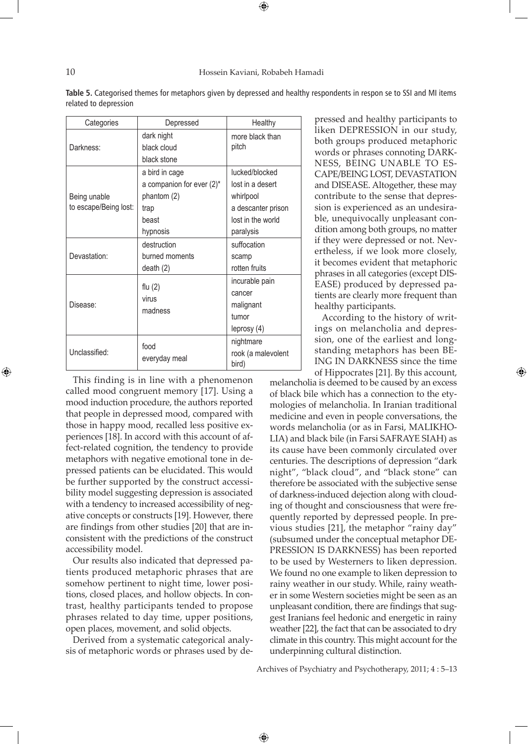#### 10 Hossein Kaviani, Robabeh Hamadi

| Categories                            | Depressed                                                                                  | Healthy                                                                                                 |
|---------------------------------------|--------------------------------------------------------------------------------------------|---------------------------------------------------------------------------------------------------------|
| Darkness:                             | dark night<br>black cloud<br>black stone                                                   | more black than<br>pitch                                                                                |
| Being unable<br>to escape/Being lost: | a bird in cage<br>a companion for ever $(2)^*$<br>phantom (2)<br>trap<br>beast<br>hypnosis | lucked/blocked<br>lost in a desert<br>whirlpool<br>a descanter prison<br>lost in the world<br>paralysis |
| Devastation:                          | destruction<br>burned moments<br>death $(2)$                                               | suffocation<br>scamp<br>rotten fruits                                                                   |
| Disease:                              | flu $(2)$<br>virus<br>madness                                                              | incurable pain<br>cancer<br>malignant<br>tumor<br>leprosy (4)                                           |
| Unclassified:                         | food<br>everyday meal                                                                      | nightmare<br>rook (a malevolent<br>bird)                                                                |

Table 5. Categorised themes for metaphors given by depressed and healthy respondents in respon se to SSI and MI items related to depression

This finding is in line with a phenomenon called mood congruent memory [17]. Using a mood induction procedure, the authors reported that people in depressed mood, compared with those in happy mood, recalled less positive experiences [18]. In accord with this account of affect-related cognition, the tendency to provide metaphors with negative emotional tone in depressed patients can be elucidated. This would be further supported by the construct accessibility model suggesting depression is associated with a tendency to increased accessibility of negative concepts or constructs [19]. However, there are findings from other studies [20] that are inconsistent with the predictions of the construct accessibility model.

Our results also indicated that depressed patients produced metaphoric phrases that are somehow pertinent to night time, lower positions, closed places, and hollow objects. In contrast, healthy participants tended to propose phrases related to day time, upper positions, open places, movement, and solid objects.

Derived from a systematic categorical analysis of metaphoric words or phrases used by depressed and healthy participants to liken DEPRESSION in our study, both groups produced metaphoric words or phrases connoting DARK-NESS, BEING UNABLE TO ES-CAPE/BEING LOST, DEVASTATION and DISEASE. Altogether, these may contribute to the sense that depression is experienced as an undesirable, unequivocally unpleasant condition among both groups, no matter if they were depressed or not. Nevertheless, if we look more closely, it becomes evident that metaphoric phrases in all categories (except DIS-EASE) produced by depressed patients are clearly more frequent than healthy participants.

According to the history of writings on melancholia and depression, one of the earliest and longstanding metaphors has been BE-ING IN DARKNESS since the time of Hippocrates [21]. By this account,

melancholia is deemed to be caused by an excess of black bile which has a connection to the etymologies of melancholia. In Iranian traditional medicine and even in people conversations, the words melancholia (or as in Farsi, MALIKHO-LIA) and black bile (in Farsi SAFRAYE SIAH) as its cause have been commonly circulated over centuries. The descriptions of depression "dark night", "black cloud", and "black stone" can therefore be associated with the subjective sense of darkness-induced dejection along with clouding of thought and consciousness that were frequently reported by depressed people. In previous studies [21], the metaphor "rainy day" (subsumed under the conceptual metaphor DE-PRESSION IS DARKNESS) has been reported to be used by Westerners to liken depression. We found no one example to liken depression to rainy weather in our study. While, rainy weather in some Western societies might be seen as an unpleasant condition, there are findings that suggest Iranians feel hedonic and energetic in rainy weather [22], the fact that can be associated to dry climate in this country. This might account for the underpinning cultural distinction.

Archives of Psychiatry and Psychotherapy, 2011; 4 : 5–13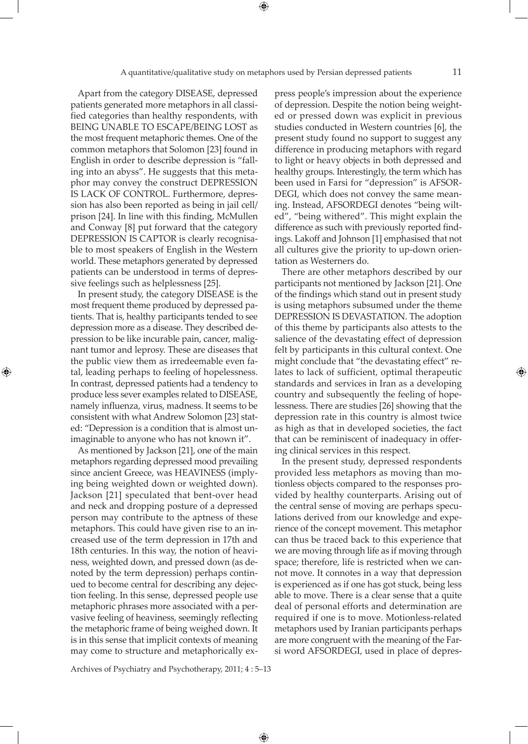Apart from the category DISEASE, depressed patients generated more metaphors in all classified categories than healthy respondents, with BEING UNABLE TO ESCAPE/BEING LOST as the most frequent metaphoric themes. One of the common metaphors that Solomon [23] found in English in order to describe depression is "falling into an abyss". He suggests that this metaphor may convey the construct DEPRESSION IS LACK OF CONTROL. Furthermore, depression has also been reported as being in jail cell/ prison [24]. In line with this finding, McMullen and Conway [8] put forward that the category DEPRESSION IS CAPTOR is clearly recognisable to most speakers of English in the Western world. These metaphors generated by depressed patients can be understood in terms of depressive feelings such as helplessness [25].

In present study, the category DISEASE is the most frequent theme produced by depressed patients. That is, healthy participants tended to see depression more as a disease. They described depression to be like incurable pain, cancer, malignant tumor and leprosy. These are diseases that the public view them as irredeemable even fatal, leading perhaps to feeling of hopelessness. In contrast, depressed patients had a tendency to produce less sever examples related to DISEASE, namely influenza, virus, madness. It seems to be consistent with what Andrew Solomon [23] stated: "Depression is a condition that is almost unimaginable to anyone who has not known it".

⊕

As mentioned by Jackson [21], one of the main metaphors regarding depressed mood prevailing since ancient Greece, was HEAVINESS (implying being weighted down or weighted down). Jackson [21] speculated that bent-over head and neck and dropping posture of a depressed person may contribute to the aptness of these metaphors. This could have given rise to an increased use of the term depression in 17th and 18th centuries. In this way, the notion of heaviness, weighted down, and pressed down (as denoted by the term depression) perhaps continued to become central for describing any dejection feeling. In this sense, depressed people use metaphoric phrases more associated with a pervasive feeling of heaviness, seemingly reflecting the metaphoric frame of being weighed down. It is in this sense that implicit contexts of meaning may come to structure and metaphorically express people's impression about the experience of depression. Despite the notion being weighted or pressed down was explicit in previous studies conducted in Western countries [6], the present study found no support to suggest any difference in producing metaphors with regard to light or heavy objects in both depressed and healthy groups. Interestingly, the term which has been used in Farsi for "depression" is AFSOR-DEGI, which does not convey the same meaning. Instead, AFSORDEGI denotes "being wilted", "being withered". This might explain the difference as such with previously reported findings. Lakoff and Johnson [1] emphasised that not all cultures give the priority to up-down orientation as Westerners do.

There are other metaphors described by our participants not mentioned by Jackson [21]. One of the findings which stand out in present study is using metaphors subsumed under the theme DEPRESSION IS DEVASTATION. The adoption of this theme by participants also attests to the salience of the devastating effect of depression felt by participants in this cultural context. One might conclude that "the devastating effect" relates to lack of sufficient, optimal therapeutic standards and services in Iran as a developing country and subsequently the feeling of hopelessness. There are studies [26] showing that the depression rate in this country is almost twice as high as that in developed societies, the fact that can be reminiscent of inadequacy in offering clinical services in this respect.

In the present study, depressed respondents provided less metaphors as moving than motionless objects compared to the responses provided by healthy counterparts. Arising out of the central sense of moving are perhaps speculations derived from our knowledge and experience of the concept movement. This metaphor can thus be traced back to this experience that we are moving through life as if moving through space; therefore, life is restricted when we cannot move. It connotes in a way that depression is experienced as if one has got stuck, being less able to move. There is a clear sense that a quite deal of personal efforts and determination are required if one is to move. Motionless-related metaphors used by Iranian participants perhaps are more congruent with the meaning of the Farsi word AFSORDEGI, used in place of depres-

Archives of Psychiatry and Psychotherapy, 2011; 4 : 5–13

⊕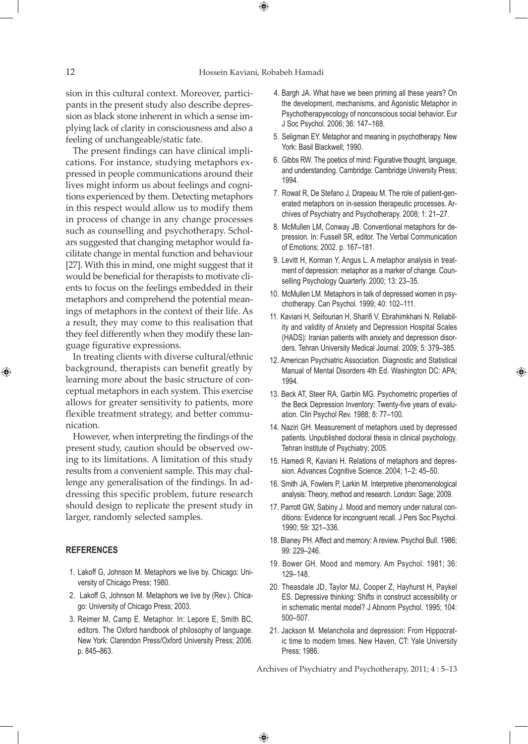$\textcolor{black}{\textcircled{\ell}}$ 

sion in this cultural context. Moreover, participants in the present study also describe depression as black stone inherent in which a sense implying lack of clarity in consciousness and also a feeling of unchangeable/static fate.

The present findings can have clinical implications. For instance, studying metaphors expressed in people communications around their lives might inform us about feelings and cognitions experienced by them. Detecting metaphors in this respect would allow us to modify them in process of change in any change processes such as counselling and psychotherapy. Scholars suggested that changing metaphor would facilitate change in mental function and behaviour [27]. With this in mind, one might suggest that it would be beneficial for therapists to motivate clients to focus on the feelings embedded in their metaphors and comprehend the potential meanings of metaphors in the context of their life. As a result, they may come to this realisation that they feel differently when they modify these language figurative expressions.

In treating clients with diverse cultural/ethnic background, therapists can benefit greatly by learning more about the basic structure of conceptual metaphors in each system. This exercise allows for greater sensitivity to patients, more flexible treatment strategy, and better communication.

However, when interpreting the findings of the present study, caution should be observed owing to its limitations. A limitation of this study results from a convenient sample. This may challenge any generalisation of the findings. In addressing this specific problem, future research should design to replicate the present study in larger, randomly selected samples.

#### **REFERENCES**

⊕

- 1. Lakoff G, Johnson M. Metaphors we live by. Chicago: University of Chicago Press; 1980.
- 2. Lakoff G, Johnson M. Metaphors we live by (Rev.). Chicago: University of Chicago Press; 2003.
- 3. Reimer M, Camp E. Metaphor. In: Lepore E, Smith BC, editors. The Oxford handbook of philosophy of language. New York: Clarendon Press/Oxford University Press; 2006. p. 845–863.
- 4. Bargh JA. What have we been priming all these years? On the development, mechanisms, and Agonistic Metaphor in Psychotherapyecology of nonconscious social behavior. Eur J Soc Psychol. 2006; 36: 147–168.
- 5. Seligman EY. Metaphor and meaning in psychotherapy. New York: Basil Blackwell; 1990.
- 6. Gibbs RW. The poetics of mind: Figurative thought, language, and understanding. Cambridge: Cambridge University Press; 1994.
- 7. Rowat R, De Stefano J, Drapeau M. The role of patient-generated metaphors on in-session therapeutic processes. Archives of Psychiatry and Psychotherapy. 2008; 1: 21–27.
- 8. McMullen LM, Conway JB. Conventional metaphors for depression. In: Fussell SR, editor. The Verbal Communication of Emotions; 2002. p. 167–181.
- 9. Levitt H, Korman Y, Angus L. A metaphor analysis in treatment of depression: metaphor as a marker of change. Counselling Psychology Quarterly. 2000; 13: 23–35.
- 10. McMullen LM. Metaphors in talk of depressed women in psychotherapy. Can Psychol. 1999; 40: 102–111.
- 11. Kaviani H, Seifourian H, Sharifi V, Ebrahimkhani N. Reliability and validity of Anxiety and Depression Hospital Scales (HADS): Iranian patients with anxiety and depression disorders. Tehran University Medical Journal. 2009; 5: 379–385.
- 12. American Psychiatric Association. Diagnostic and Statistical Manual of Mental Disorders 4th Ed. Washington DC: APA; 1994.
- 13. Beck AT, Steer RA, Garbin MG. Psychometric properties of the Beck Depression Inventory: Twenty-five years of evaluation. Clin Psychol Rev. 1988; 8: 77–100.
- 14. Naziri GH. Measurement of metaphors used by depressed patients. Unpublished doctoral thesis in clinical psychology. Tehran Institute of Psychiatry; 2005.
- 15. Hamedi R, Kaviani H. Relations of metaphors and depression. Advances Cognitive Science. 2004; 1–2: 45–50.
- 16. Smith JA, Fowlers P, Larkin M. Interpretive phenomenological analysis: Theory, method and research. London: Sage; 2009.
- 17. Parrott GW, Sabiny J. Mood and memory under natural conditions: Evidence for incongruent recall. J Pers Soc Psychol. 1990; 59: 321–336.
- 18. Blaney PH. Affect and memory: A review. Psychol Bull. 1986; 99: 229–246.
- 19. Bower GH. Mood and memory. Am Psychol. 1981; 36: 129–148.
- 20. Theasdale JD, Taylor MJ, Cooper Z, Hayhurst H, Paykel ES. Depressive thinking: Shifts in construct accessibility or in schematic mental model? J Abnorm Psychol. 1995; 104: 500–507.
- 21. Jackson M. Melancholia and depression: From Hippocratic time to modern times. New Haven, CT: Yale University Press; 1986.

Archives of Psychiatry and Psychotherapy, 2011; 4 : 5–13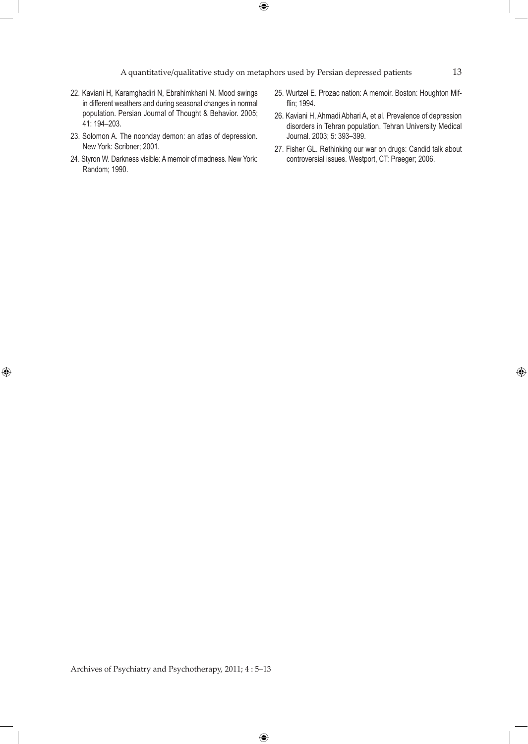$\bigoplus$ 

A quantitative/qualitative study on metaphors used by Persian depressed patients 13

- 22. Kaviani H, Karamghadiri N, Ebrahimkhani N. Mood swings in different weathers and during seasonal changes in normal population. Persian Journal of Thought & Behavior. 2005; 41: 194–203.
- 23. Solomon A. The noonday demon: an atlas of depression. New York: Scribner; 2001.
- 24. Styron W. Darkness visible: A memoir of madness. New York: Random; 1990.

 $\bigoplus$ 

- 25. Wurtzel E. Prozac nation: A memoir. Boston: Houghton Mifflin; 1994.
- 26. Kaviani H, Ahmadi Abhari A, et al. Prevalence of depression disorders in Tehran population. Tehran University Medical Journal. 2003; 5: 393–399.
- 27. Fisher GL. Rethinking our war on drugs: Candid talk about controversial issues. Westport, CT: Praeger; 2006.

Archives of Psychiatry and Psychotherapy, 2011; 4 : 5–13

 $\bigoplus$